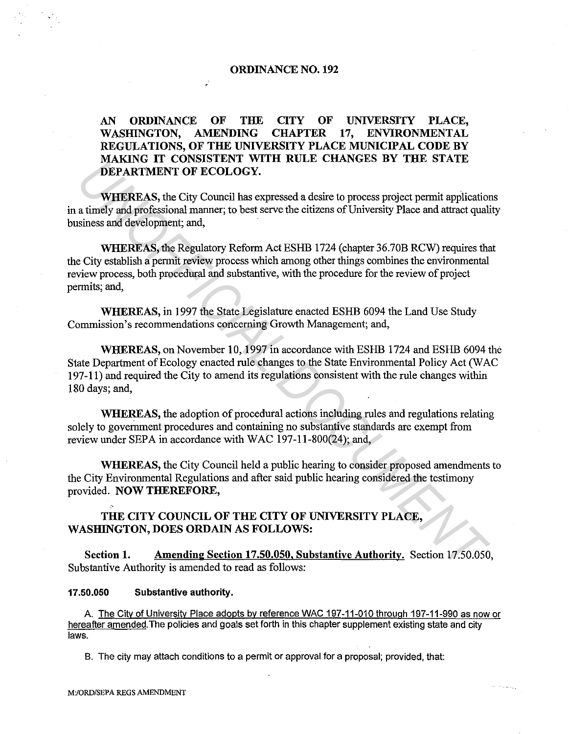# **ORDINANCE NO. 192**

# **AN ORDINANCE OF THE CITY OF UNIVERSITY PLACE, WASHINGTON, AMENDING CHAPTER 17, ENVIRONMENTAL REGULATIONS, OF THE UNIVERSITY PLACE MUNICIPAL CODE BY MAKING IT CONSISTENT WITH RULE CHANGES BY THE STATE DEPARTMENT OF ECOLOGY.**

**WHEREAS,** the City Council has expressed a desire to process project permit applications in a timely and professional manner; to best serve the citizens of University Place and attract quality business and development; and,

**WHEREAS,** the Regulatory Reform Act ESHB 1724 (chapter 36. 70B RCW) requires that the City establish a permit review process which among other things combines the environmental review process, both procedural and substantive, with the procedure for the review of project permits; and, **UNIXATIVE TO CONSIDENT WITH KOLLE CHANGES BY THE STATE OF SURFAKIMENT OF ECOLOGY.**<br> **WHEREAS**, the City Council has expressed a desire to process project permit application<br>
a timely and professional manner, to bet serve

**WHEREAS,** in 1997 the State Legislature enacted ESHB 6094 the Land Use Study Commission's recommendations concerning Growth Management; and,

**WHEREAS,** on November 10, 1997 in accordance with ESHB 1724 and ESHB 6094 the State Department of Ecology enacted rule changes to the State Environmental Policy Act (WAC 197-11) and required the City to amend its regulations consistent with the rule changes within 180 days; and,

**WHEREAS,** the adoption of procedural actions including rules and regulations relating solely to government procedures and containing no substantive standards are exempt from review under SEPA in accordance with WAC 197-11-800(24); and,

**WHEREAS,** the City Council held a public hearing to consider proposed amendments to the City Environmental Regulations and after said public hearing considered the testimony provided. **NOW THEREFORE,** 

# **THE CITY COUNCIL OF THE CITY OF UNIVERSITY PLACE, WASHINGTON, DOES ORDAIN AS FOLLOWS:**

**Section 1. Amending Section 17.50.050, Substantive Authority.** Section 17.50.050, Substantive Authority is amended to read as follows:

## **17.50.050 Substantive authority.**

A The City of University Place adopts by reference WAC 197 -11-010 through 197-11-990 as now or hereafter amended. The policies and goals set forth in this chapter supplement existing state and city laws.

8. The city may attach conditions to a permit or approval for a proposal; provided, that: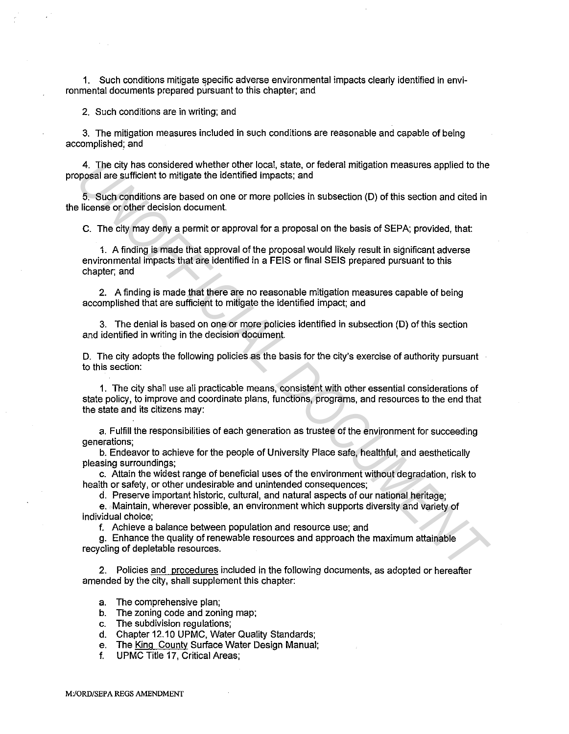1. Such conditions mitigate specific adverse environmental impacts clearly identified in environmental documents prepared pursuant to this chapter; and

2. Such conditions are in writing; and

3. The mitigation measures included in such conditions are reasonable and capable of being accomplished; and

4. The city has considered whether other local, state, or federal mitigation measures applied to the proposal are sufficient to mitigate the identified impacts; and

5. Such conditions are based on one or more policies in subsection (D) of this section and cited in the license or other decision document.

C. The city may deny a permit or approval for a proposal on the basis of SEPA; provided, that

1. A finding is made that approval of the proposal would likely result in significant adverse environmental impacts that are identified in a FEIS or final SEIS prepared pursuant to this chapter; and

2. A finding is made that there are no reasonable mitigation measures capable of being accomplished that are sufficient to mitigate the identified impact; and

3. The denial is based on one or more policies identified in subsection (D) of this section and identified in writing in the decision document.

D. The city adopts the following policies as the basis for the city's exercise of authority pursuant to this section:

1. The city shall use all practicable means, consistent with other essential considerations of state policy, to improve and coordinate plans, functions, programs, and resources to the end that the state and its citizens may: 4. The city has considered whether other local, state, or federal mitigation measures applied to the popesial are sufficient of highets, and<br>
5. Such conditions are based on one or more policies in subsection (D) of this s

a. Fulfill the responsibilities of each generation as trustee of the environment for succeeding generations;

b. Endeavor to achieve for the people of University Place safe, healthful, and aesthetically pleasing surroundings;

c. Attain the widest range of beneficial uses of the environment without degradation, risk to health or safety, or other undesirable and unintended consequences;

d. Preserve important historic, cultural, and natural aspects of our national heritage;

e. Maintain, wherever possible, an environment which supports diversity and variety of individual choice;

f. Achieve a balance between population and resource use; and

g. Enhance the quality of renewable resources and approach the maximum attainable recycling of depletable resources.

2. Policies and procedures included in the following documents, as adopted or hereafter amended by the city, shall supplement this chapter:

a. The comprehensive plan;

b. The zoning code and zoning map;

c. The subdivision regulations;

d. Chapter 12.10 UPMC, Water Quality Standards;

e. The King County Surface Water Design Manual;

f. UPMC Title 17, Critical Areas;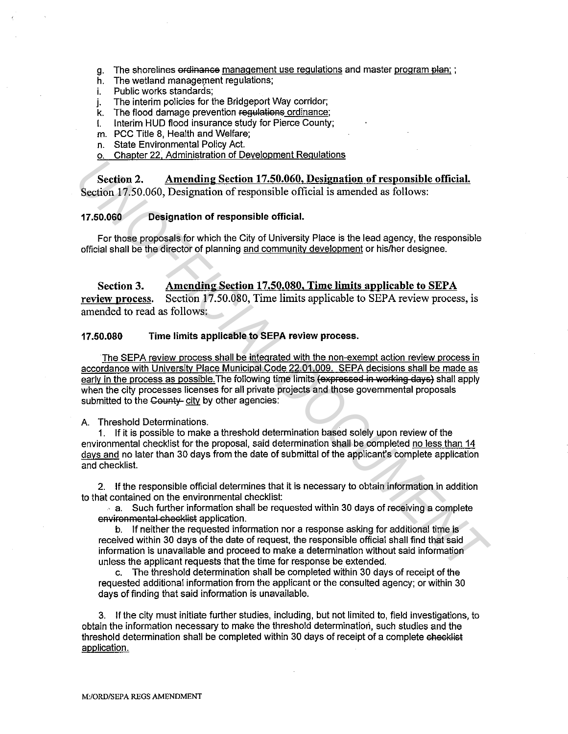- g. The shorelines ordinanse management use regulations and master program plan; ;
- h. The wetland management regulations;
- i. Public works standards;
- j. The interim policies for the Bridgeport Way corridor;<br>k. The flood damage prevention regulations ordinance;
- The flood damage prevention regulations ordinance;
- I. Interim HUD fiood insurance study for Pierce County;
- m. PCC Title 8, Health and Welfare;
- n. State Environmental Policy Act.
- o. Chapter 22, Administration of Development Regulations

**Section 2. Amending Section 17.50.060, Designation of responsible official.**  Section 17.50.060, Designation of responsible official is amended as follows:

#### **17.50.060 Designation of responsible official.**

For those proposals for which the City of University Place is the lead agency, the responsible official shall be the director of planning and community development or his/her designee.

**Section 3. Amending Section 17 .50.080, Time limits applicable to SEP A review nrocess.** Section 17.50.080, Time limits applicable to SEPA review process, is amended to read as follows:

## **17.50.080 Time limits applicable to SEPA review process.**

The SEPA review process shall be integrated with the non-exempt action review process in accordance with University Place Municipal Code 22.01.009. SEPA decisions shall be made as early in the process as possible. The following time limits (expressed in working days) shall apply when the city processes licenses for all private projects and those governmental proposals submitted to the County city by other agencies: **Section 2.** Amending Section 17.50.060. Designation of responsible official.<br>
Section 17.50.060, Designation of responsible official is amended as follows:<br> **17.50.060** Designation of responsible official is amended as fo

A. Threshold Determinations.

1. If it is possible to make a threshold determination based solely upon review of the environmental checklist for the proposal, said determination shall be completed no less than 14 days and no later than 30 days from the date of submittal of the applicant's complete application and checklist.

2. If the responsible official determines that it is necessary to obtain information in addition to that contained on the environmental checklist:

 $\sim$  a. Such further information shall be requested within 30 days of receiving a complete environmental checklist application.

b. If neither the requested information nor a response asking for additional time is received within 30 days of the date of request, the responsible official shall find that said information is unavailable and proceed to make a determination without said information unless the applicant requests that the time for response be extended.

c. The threshold determination shall be completed within 30 days of receipt of the requested additional information from the applicant or the consulted agency; or within 30 days of finding that said information is unavailable.

3. If the city must initiate further studies, including, but not limited to, field investigations, to obtain the information necessary to make the threshold determination, such studies and the threshold determination shall be completed within 30 days of receipt of a complete checklist application.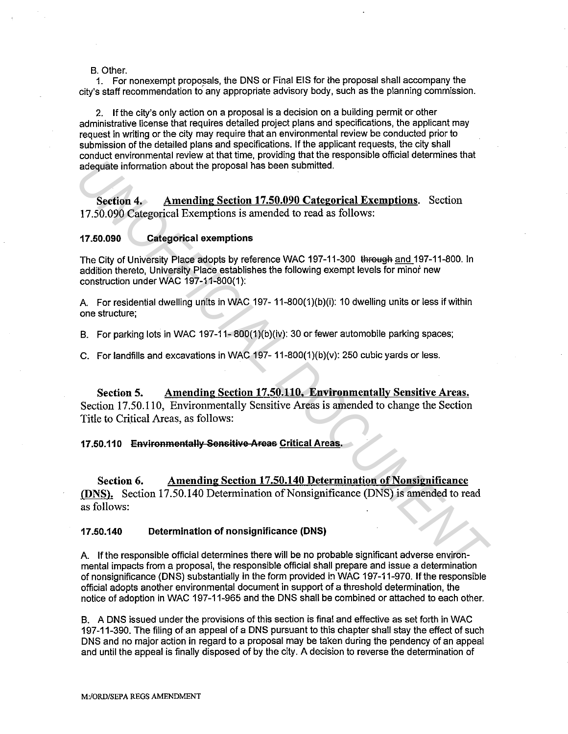#### B. Other.

1. For nonexempt proposals, the DNS or Final EIS for the proposal shall accompany the city's staff recommendation to any appropriate advisory body, such as the planning commission.

2. If the city's only action on a proposal is a decision on a building permit or other administrative license that requires detailed project plans and specifications, the applicant may request in writing or the city may require that an environmental review be conducted prior to submission of the detailed plans and specifications. If the applicant requests, the city shall conduct environmental review at that time, providing that the responsible official determines that adequate information about the proposal has been submitted.

Section 4. Amending Section 17.50.090 Categorical Exemptions. Section 17 .50.090 Categorical Exemptions is amended to read as follows:

### 17.50.090 Categorical exemptions

The City of University Place adopts by reference WAC 197-11-300 through and 197-11-800. In addition thereto, University Place establishes the following exempt levels for minor new construction under WAC 197-11-800(1):

A. For residential dwelling units in WAC 197-11-800(1)(b)(i): 10 dwelling units or less if within one structure;

B. For parking lots in WAC 197-11- 800(1)(b)(iv): 30 or fewer automobile parking spaces;

C. For landfills and excavations in WAC 197- 11-800(1)(b)(v): 250 cubic yards or less.

Section 5. Amending Section 17.50.110, Environmentally Sensitive Areas. Section 17.50.110, Environmentally Sensitive Areas is amended to change the Section Title to Critical Areas, as follows:

#### 17.50.110 Environmentally Sensitive Areas Critical Areas.

Section 6. Amending Section 17.50.140 Determination of Nonsignificance (DNS). Section 17.50.140 Determination of Nonsignificance (DNS) is amended to read as follows: **Example Information about the proposal has been submitted.**<br> **Section 4. Amending Section 17.50.090 Categorical Exemptions** Section 17.50.090 Categorical Exemptions is amended to read as follows:<br> **17.50.090** Categorica

#### 17.50.140 Determination of nonsignificance (DNS)

A. If the responsible official determines there will be no probable significant adverse environmental impacts from a proposal, the responsible official shall prepare and issue a determination of nonsignificance (DNS) substantially in the form provided in WAC 197-11-970. If the responsible official adopts another environmental document in support of a threshold determination, the notice of adoption in WAC 197-11-965 and the DNS shall be combined or attached to each other.

B. A DNS issued under the provisions of this section is final and effective as set forth in WAC 197-11-390. The filing of an appeal of a DNS pursuant to this chapter shall stay the effect of such DNS and no major action in regard to a proposal may be taken during the pendency of an appeal and until the appeal is finally disposed of by the city. A decision to reverse the determination of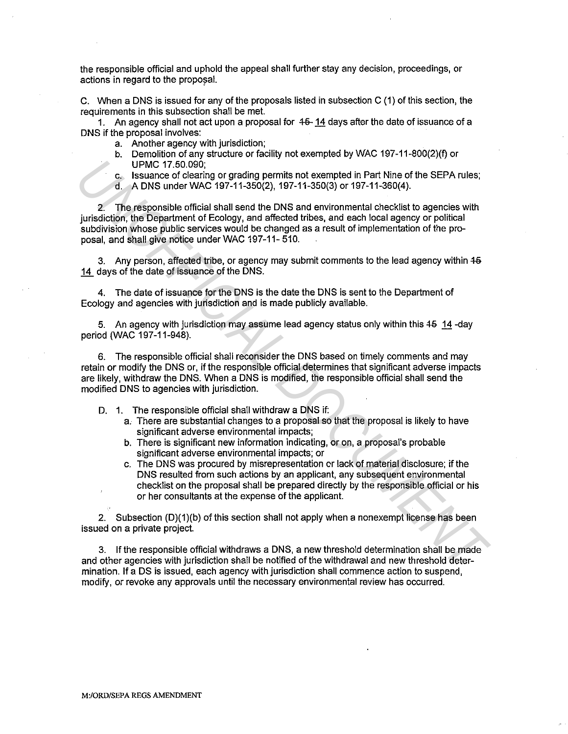the responsible official and uphold the appeal shall further stay any decision, proceedings, or actions in regard to the proposal.

C. When a DNS is issued for any of the proposals listed in subsection C (1) of this section, the requirements in this subsection shall be met.

1. An agency shall not act upon a proposal for  $45-14$  days after the date of issuance of a DNS if the proposal involves:

- a. Another agency with jurisdiction;
- b. Demolition of any structure or facility not exempted by WAC 197-11-800(2)(1) or UPMC 17.50.090;
- c. Issuance of clearing or grading permits not exempted in Part Nine of the SEPA rules;
- d. A DNS under WAC 197-11-350(2), 197-11-350(3) or 197-11-360(4).

2. The responsible official shall send the DNS and environmental checklist to agencies with jurisdiction, the Department of Ecology, and affected tribes, and each local agency or political subdivision whose public services would be changed as a result of implementation of the proposal, and shall give notice under WAC 197-11-510. UPMOT 75.0.000<br>
C. Issuance of clearing or grading permits not exempted in Part Nine of the SEPA rules;<br>
4. A DNS under WAC 197-11-360(2), 197-11-360(3) or 197-11-360(4).<br>
2. The responsible official shall see the DNS and

3. Any person, affected tribe, or agency may submit comments to the lead agency within  $45$ 14 days of the date of issuance of the DNS.

4. The date of issuance for the DNS is the date the DNS is sent to the Department of Ecology and agencies with jurisdiction and is made publicly available.

5. An agency with jurisdiction may assume lead agency status only within this  $45 \t14$  -day period (WAC 197-11-948).

6. The responsible official shall reconsider the DNS based on timely comments and may retain or modify the DNS or, if the responsible official determines that significant adverse impacts are likely, withdraw the DNS. When a DNS is modified, the responsible official shall send the modified DNS to agencies with jurisdiction.

- D. 1. The responsible official shall withdraw a DNS if:
	- a. There are substantial changes to a proposal so that the proposal is likely to have significant adverse environmental impacts;
	- b. There is significant new information indicating, or on, a proposal's probable significant adverse environmental impacts; or
	- c. The DNS was procured by misrepresentation er lack of material disclosure; if the DNS resulted from such actions by an applicant, any subsequent environmental checklist on the proposal shall be prepared directly by the responsible official or his or her consultants at the expense of the applicant.

2. Subsection {D){1){b) of this section shall not apply when a nonexempt license has been issued on a private project.

3. If the responsible official withdraws a DNS, a new threshold determination shall be made and other agencies with jurisdiction shall be notified of the withdrawal and new threshold determination. If a DS is issued, each agency with jurisdiction shall commence action to suspend, modify, or revoke any approvals until the necessary environmental review has occurred.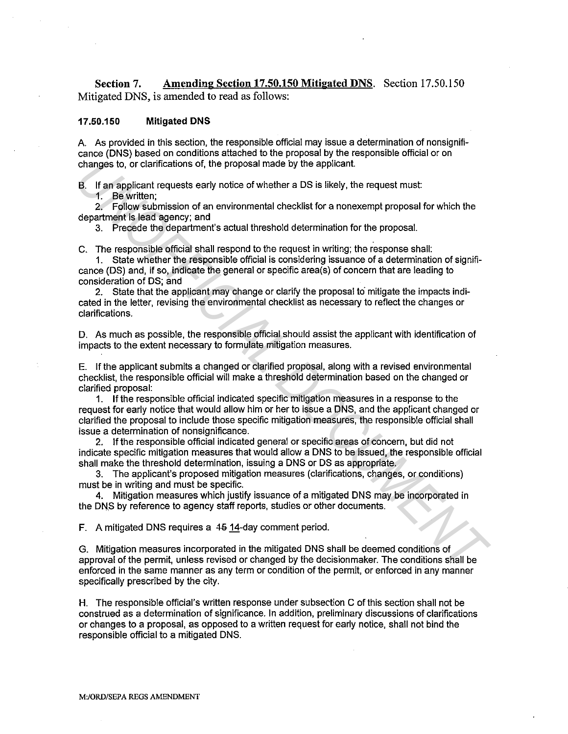**Section 7. Amending Section 17.50.150 Mitigated DNS.** Section 17.50.150 Mitigated DNS, is amended to read as follows:

#### **17.50.150 Mitigated DNS**

A. As provided in this section, the responsible official may issue a determination of nonsignificance (DNS) based on conditions attached to the proposal by the responsible official or on changes to, or clarifications of, the proposal made by the applicant.

B. If an applicant requests early notice of whether a DS is likely, the request must:

1. Be written;

2. Follow submission of an environmental checklist for a nonexempt proposal for which the department is lead agency; and

3. Precede the department's actual threshold determination for the proposal.

C. The responsible official shall respond to the request in writing; the response shall:

1. State whether the responsible official is considering issuance of a determination of significance (DS) and, if so, indicate the general or specific area(s) of concern that are leading to consideration of DS; and

2. State that the applicant may change or clarify the proposal to mitigate the impacts indicated in the letter, revising the environmental checklist as necessary to reflect the changes or clarifications.

D. As much as possible, the responsible official should assist the applicant with identification of impacts to the extent necessary to formulate mitigation measures.

E. If the applicant submits a changed or clarified proposal, along with a revised environmental checklist, the responsible official will make a threshold determination based on the changed or clarified proposal:

1. If the responsible official indicated specific mitigation measures in a response to the request for early notice that would allow him or her to issue a DNS, and the applicant changed or clarified the proposal to include those specific mitigation measures, the responsible official shall issue a determination of nonsignificance. changes to, or clanifications of, the proposal made by the applicant.<br> **U.** If an applicant requests early notice of whether a DS is likely, the request must<br> **U.** Be written;<br> **2.** Fellow submission of an environmental ch

2. If the responsible official indicated general or specific areas of concern, but did not indicate specific mitigation measures that would allow a DNS to be issued, the responsible official shall make the threshold determination, issuing a DNS or DS as appropriate.

3. The applicant's proposed mitigation measures (clarifications, changes, or conditions) must be in writing and must be specific.

4. Mitigation measures which justify issuance of a mitigated DNS may be incorporated in the DNS by reference to agency staff reports, studies or other documents.

**F.** A mitigated DNS requires a 45 14-day comment period.

G. Mitigation measures incorporated in the mitigated DNS shall be deemed conditions of approval of the permit, unless revised or changed by the decision maker. The conditions shall be enforced in the same manner as any term or condition of the permit, or enforced in any manner specifically prescribed by the city.

H. The responsible official's written response under subsection C of this section shall not be construed as a determination of significance. In addition, preliminary discussions of clarifications or changes to a proposal, as opposed to a written request for early notice, shall not bind the responsible official to a mitigated DNS.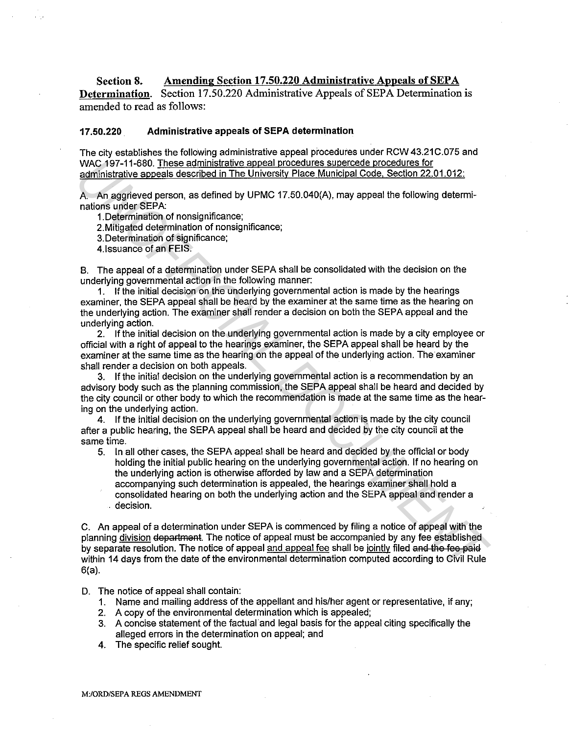## **Section 8. Amending Section 17 .50.220 Administrative Appeals of SEP A**

**Determination.** Section 17.50.220 Administrative Appeals of SEPA Determination is amended to read as follows:

#### **17.50.220. Administrative appeals of SEPA determination**

The city establishes the following administrative appeal procedures under RCW 43.21C.075 and WAC 197-11-680. These administrative appeal procedures supercede procedures for administrative appeals described in The University Place Municipal Code. Section 22.01.012:

A. An aggrieved person, as defined by UPMC 17.50.040(A), may appeal the following determinations under SEPA:

1.Determination of nonsignificance;

2.Mitigated determination of nonsignificance;

3.Determination of significance;

4.lssuance of an FEIS.

B. The appeal of a determination under SEPA shall be consolidated with the decision on the underlying governmental action in the following manner:

1. If the initial decision on the underlying governmental action is made by the hearings examiner, the SEPA appeal shall be heard by the examiner at the same time as the hearing on the underlying action. The examiner shall render a decision on both the SEPA appeal and the underlying action.

2. If the initial decision on the underlying governmental action is made by a city employee or official with a right of appeal to the hearings examiner, the SEPA appeal shall be heard by the examiner at the same time as the hearing on the appeal of the underlying action. The examiner shall render a decision on both appeals.

3. If the initial decision on the underlying governmental action is a recommendation by an advisory body such as the planning commission, the SEPA appeal shall be heard and decided by the city council or other body to which the recommendation is made at the same time as the hearing on the underlying action.

4. If the initial decision on the underlying governmental action is made by the city council after a public hearing, the SEPA appeal shall be heard and decided by the city council at the same time.

5. In all other cases, the SEPA appeal shall be heard and decided by the official or body holding the initial public hearing on the underlying governmental action. If no hearing on the underlying action is otherwise afforded by law and a SEPA determination accompanying such determination is appealed, the hearings examiner shall hold a consolidated hearing on both the underlying action and the SEPA appeal and render a . decision. WAC 1971-1680. These administrative appeal procedures aurerede procedures for<br>
administrative appeals described in The University Place Municipal Code. Section 22.01.012;<br>
A. An aggreed person, as defined by UPMC 17.50.04

C. An appeal of a determination under SEPA is commenced by filing a notice of appeal with the planning division department. The notice of appeal must be accompanied by any fee established by separate resolution. The notice of appeal and appeal fee shall be jointly filed and the fee paid within 14 days from the date of the environmental determination computed according to Civil Rule 6(a).

D. The notice of appeal shall contain:

- 1. Name and mailing address of the appellant and his/her agent or representative, if any;
- 2. A copy of the environmental determination which is appealed;
- 3. A concise statement of the factual and legal basis for the appeal citing specifically the alleged errors in the determination on appeal; and
- 4. The specific relief sought.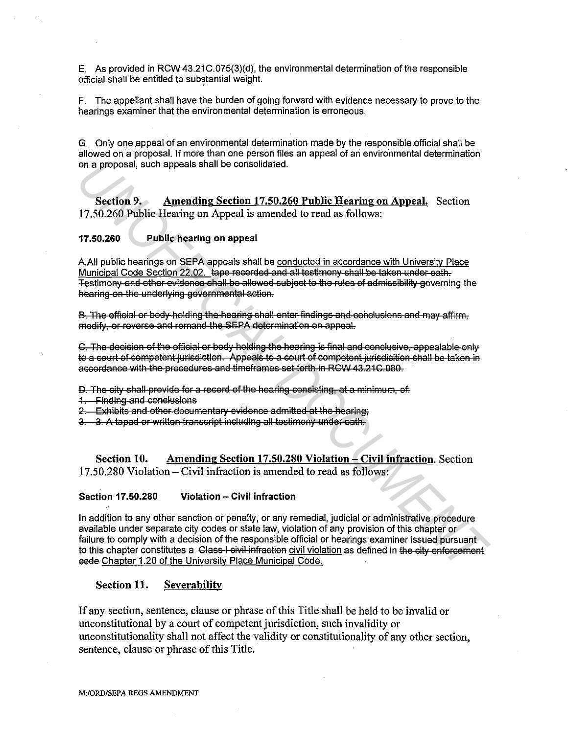E. As provided in RCW 43.21C.075(3)(d), the environmental determination of the responsible official shall be entitled to substantial weight.

F. The appellant shall have the burden of going forward with evidence necessary to prove to the hearings examiner that the environmental determination is erroneous.

G. Only one appeal of an environmental determination made by the responsible official shall be allowed on a proposal. If more than one person files an appeal of an environmental determination on a proposal, such appeals shall be consolidated.

**Section 9. Amending Section 17.50.260 Public Hearing on Appeal.** Section 17.50.260 Public Hearing on Appeal is amended to read as follows:

## **17.50.260 Public hearing on appeal**

A.All public hearings on SEPA appeals shall be conducted in accordance with University Place Municipal Code Section 22.02. tape recorded and all testimony shall be taken under eath. Testimony and other evidence shall be allowed subject to the rules of admissibility governing the hearing on the underlying governmental action.

B. The official or body holding the hearing shall enter findings and conclusions and may affirm, modify, or reverse and remand the SEPA determination on appeal.

C. The decision of the official or body holding the hearing is final and conclusive, appealable only to a court of competent jurisdiction. Appeals to a court of competent jurisdicition shall be taken in accordance with the procedures and timeframes set forth in RGW 43.21 C.080.

D. The city shall previde for a record of the hearing consisting, at a minimum, of:

1. Finding and conclusions

2. Exhibits and other documentary evidence admitted at the hearing.

3. 3. A taped or written transcript including all testimony under eath.

**Section 10. Amending Section 17.50.280 Violation - Civil infraction.** Section 17.50.280 Violation- Civil infraction is amended to read as follows:

#### **Section 17.50.280 Violation - Civil infraction**

In addition to any other sanction or penalty, or any remedial, judicial or administrative procedure available under separate city codes or state law, violation of any provision of this chapter or failure to comply with a decision of the responsible official or hearings examiner issued pursuant to this chapter constitutes a Class-I civil infraction civil violation as defined in the city enforcement eede Chapter 1.20 of the University Place Municipal Code. on a proposal, such appeals shall be consolidated.<br> **Section 9.** Amending Section 17.50.260 Public Hearing on Appeal. Section 17.50.260 Public Hearing on Appeal is amended to read as follows:<br> **17.50.260** Public hearing on

## **Section 11. Severabilitv**

If any section, sentence, clause or phrase of this Title shall be held to be invalid or unconstitutional by a court of competent jurisdiction, such invalidity or unconstitutionality shall not affect the validity or constitutionality of any other section, sentence, clause or phrase of this Title.